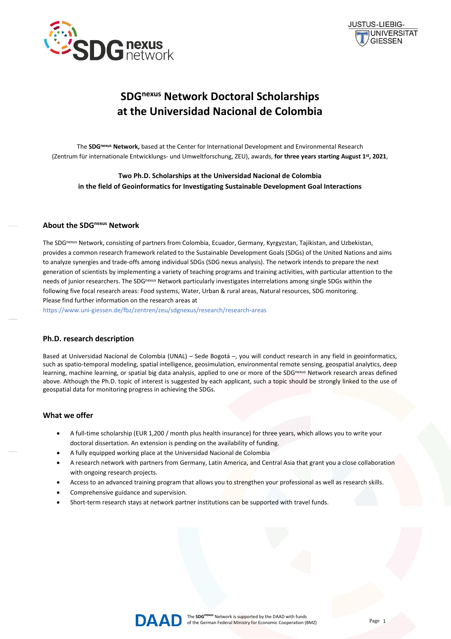



# **SDGnexus Network Doctoral Scholarships at the Universidad Nacional de Colombia**

The **SDGnexus Network,** based at the Center for International Development and Environmental Research (Zentrum für internationale Entwicklungs- und Umweltforschung, ZEU), awards, **for three years starting August 1 st, 2021**,

**Two Ph.D. Scholarships at the Universidad Nacional de Colombia in the field of Geoinformatics for Investigating Sustainable Development Goal Interactions**

### **About the SDGnexus Network**

The SDGnexus Network, consisting of partners from Colombia, Ecuador, Germany, Kyrgyzstan, Tajikistan, and Uzbekistan, provides a common research framework related to the Sustainable Development Goals (SDGs) of the United Nations and aims to analyze synergies and trade-offs among individual SDGs (SDG nexus analysis). The network intends to prepare the next generation of scientists by implementing a variety of teaching programs and training activities, with particular attention to the needs of junior researchers. The SDG<sup>nexus</sup> Network particularly investigates interrelations among single SDGs within the following five focal research areas: Food systems, Water, Urban & rural areas, Natural resources, SDG monitoring. Please find further information on the research areas at

<https://www.uni-giessen.de/fbz/zentren/zeu/sdgnexus/research/research-areas>

## **Ph.D. research description**

Based at Universidad Nacional de Colombia (UNAL) – Sede Bogotá –, you will conduct research in any field in geoinformatics, such as spatio-temporal modeling, spatial intelligence, geosimulation, environmental remote sensing, geospatial analytics, deep learning, machine learning, or spatial big data analysis, applied to one or more of the SDGnexus Network research areas defined above. Although the Ph.D. topic of interest is suggested by each applicant, such a topic should be strongly linked to the use of geospatial data for monitoring progress in achieving the SDGs.

#### **What we offer**

- A full-time scholarship (EUR 1,200 / month plus health insurance) for three years, which allows you to write your doctoral dissertation. An extension is pending on the availability of funding.
- A fully equipped working place at the Universidad Nacional de Colombia
- A research network with partners from Germany, Latin America, and Central Asia that grant you a close collaboration with ongoing research projects.
- Access to an advanced training program that allows you to strengthen your professional as well as research skills.
- Comprehensive guidance and supervision.
- Short-term research stays at network partner institutions can be supported with travel funds.